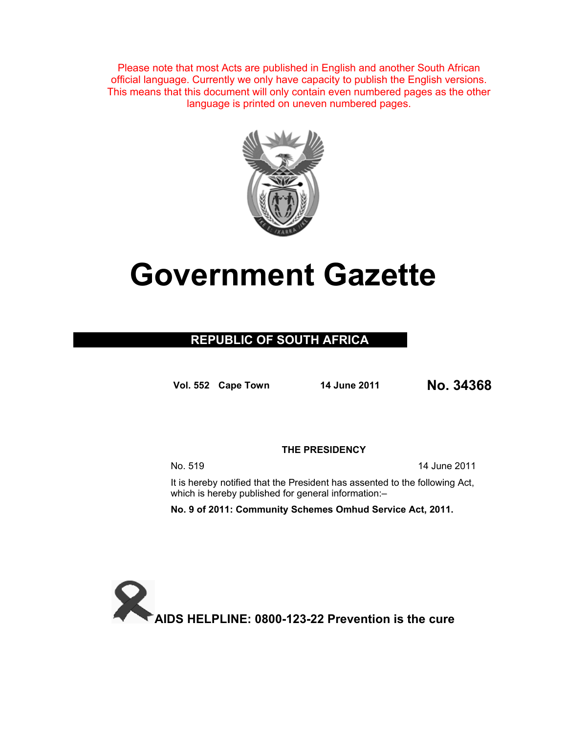Please note that most Acts are published in English and another South African official language. Currently we only have capacity to publish the English versions. This means that this document will only contain even numbered pages as the other language is printed on uneven numbered pages.



# **Government Gazette**

## **REPUBLIC OF SOUTH AFRICA**

**Vol. 552 Cape Town 14 June 2011 No. 34368**

**THE PRESIDENCY** 

No. 519 14 June 2011

It is hereby notified that the President has assented to the following Act, which is hereby published for general information:-

**No. 9 of 2011: Community Schemes Omhud Service Act, 2011.** 

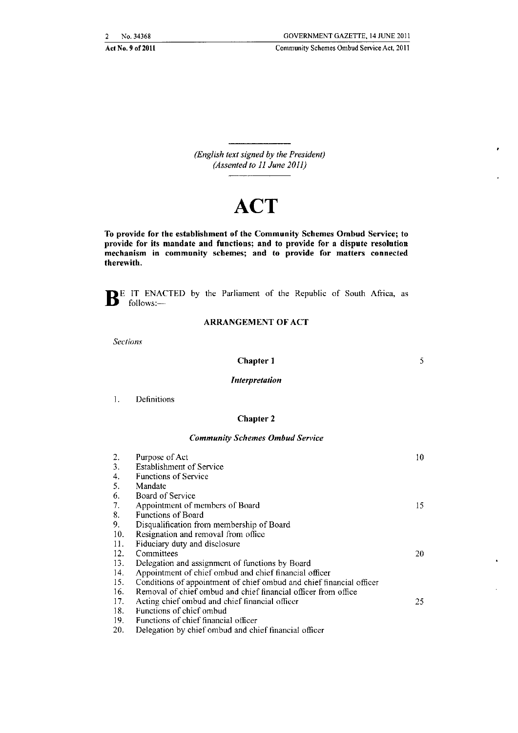Act No.9 of2011

Community Schemes Ombud Service Act, 2011

*(English text signed by the President) (Assented to 11 June 2011)* 

## **ACT**

To provide for the establishment of the Community Schemes Ombud Service; to provide for its mandate and functions; and to provide for a dispute resolution **mechanism in community schemes; and to provide for matters connected**  therewith.

BE IT ENACTED by the Parliament of the Republic of South Africa, as follows:-

#### ARRANGEMENT OF ACT

*Sections* 

#### Chapter 1

5

#### *Interpretation*

1. Definitions

#### Chapter 2

#### *Community Schemes Omhud Service*

| 2.  | Purpose of Act                                                       | 10 |
|-----|----------------------------------------------------------------------|----|
| 3.  | Establishment of Service                                             |    |
| 4.  | <b>Functions of Service</b>                                          |    |
| 5.  | Mandate                                                              |    |
| 6.  | Board of Service                                                     |    |
| 7.  | Appointment of members of Board                                      | 15 |
| 8.  | <b>Functions of Board</b>                                            |    |
| 9.  | Disqualification from membership of Board                            |    |
| 10. | Resignation and removal from office                                  |    |
| 11. | Fiduciary duty and disclosure                                        |    |
| 12. | Committees                                                           | 20 |
| 13. | Delegation and assignment of functions by Board                      |    |
| 14. | Appointment of chief ombud and chief financial officer               |    |
| 15. | Conditions of appointment of chief ombud and chief financial officer |    |
| 16. | Removal of chief ombud and chief financial officer from office       |    |
| 17. | Acting chief ombud and chief financial officer                       | 25 |
| 18. | Functions of chief ombud                                             |    |
| 10  | Eunctions of chief financial officer                                 |    |

19. Functions of chief financial officer<br>20. Delegation by chief ombud and ch Delegation by chief ombud and chief financial officer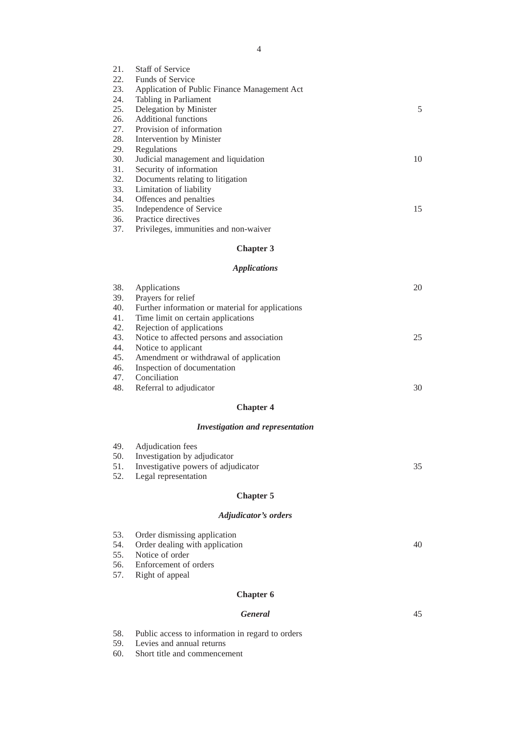| 21. | <b>Staff of Service</b>                      |    |
|-----|----------------------------------------------|----|
| 22. | <b>Funds of Service</b>                      |    |
| 23. | Application of Public Finance Management Act |    |
| 24. | Tabling in Parliament                        |    |
| 25. | Delegation by Minister                       | 5  |
| 26. | Additional functions                         |    |
| 27. | Provision of information                     |    |
| 28. | Intervention by Minister                     |    |
| 29. | Regulations                                  |    |
| 30. | Judicial management and liquidation          | 10 |
| 31. | Security of information                      |    |
| 32. | Documents relating to litigation             |    |
| 33. | Limitation of liability                      |    |
| 34. | Offences and penalties                       |    |
| 35. | Independence of Service                      | 15 |
| 36. | Practice directives                          |    |
| 37. | Privileges, immunities and non-waiver        |    |
|     | <b>Chapter 3</b>                             |    |
|     |                                              |    |

## *Applications*

| 38. | Applications                                     | 20 |
|-----|--------------------------------------------------|----|
| 39. | Prayers for relief                               |    |
| 40. | Further information or material for applications |    |
| 41. | Time limit on certain applications               |    |
| 42. | Rejection of applications                        |    |
| 43. | Notice to affected persons and association       | 25 |
| 44. | Notice to applicant                              |    |
| 45. | Amendment or withdrawal of application           |    |
| 46. | Inspection of documentation                      |    |
| 47. | Conciliation                                     |    |
| 48. | Referral to adjudicator                          | 30 |
|     |                                                  |    |

## **Chapter 4**

### *Investigation and representation*

| 49. Adjudication fees                   |    |
|-----------------------------------------|----|
| 50. Investigation by adjudicator        |    |
| 51. Investigative powers of adjudicator | 35 |
| 52. Legal representation                |    |
|                                         |    |

## **Chapter 5**

### *Adjudicator's orders*

| 53. Order dismissing application   |    |
|------------------------------------|----|
| 54. Order dealing with application | 40 |
| 55. Notice of order                |    |
| 56. Enforcement of orders          |    |
| 57. Right of appeal                |    |
|                                    |    |

45

## **Chapter 6**

#### *General*

- 58. Public access to information in regard to orders
- 59. Levies and annual returns
- 60. Short title and commencement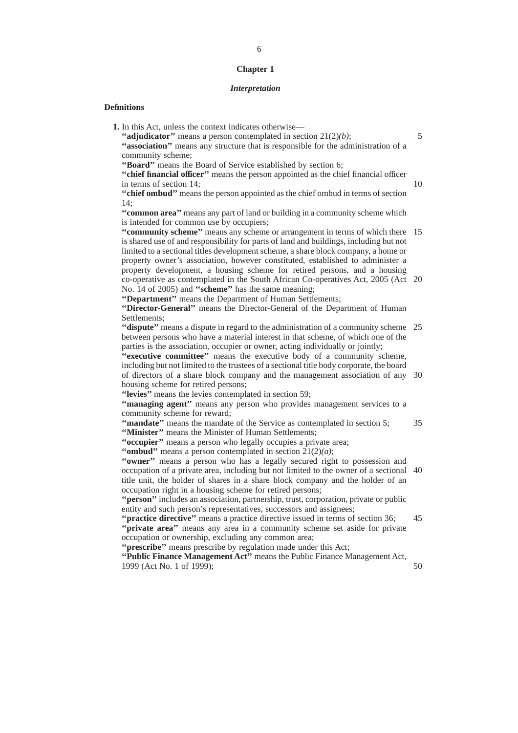#### **Chapter 1**

#### *Interpretation*

#### **Definitions**

**1.** In this Act, unless the context indicates otherwise— **''adjudicator''** means a person contemplated in section 21(2)*(b)*; **''association''** means any structure that is responsible for the administration of a community scheme; **''Board''** means the Board of Service established by section 6; **''chief financial officer''** means the person appointed as the chief financial officer in terms of section 14; **''chief ombud''** means the person appointed as the chief ombud in terms of section 14; **''common area''** means any part of land or building in a community scheme which is intended for common use by occupiers; "community scheme" means any scheme or arrangement in terms of which there 15 is shared use of and responsibility for parts of land and buildings, including but not limited to a sectional titles development scheme, a share block company, a home or property owner's association, however constituted, established to administer a property development, a housing scheme for retired persons, and a housing co-operative as contemplated in the South African Co-operatives Act, 2005 (Act 20 No. 14 of 2005) and **''scheme''** has the same meaning; **''Department''** means the Department of Human Settlements; **''Director-General''** means the Director-General of the Department of Human Settlements; **"dispute"** means a dispute in regard to the administration of a community scheme 25 between persons who have a material interest in that scheme, of which one of the parties is the association, occupier or owner, acting individually or jointly; **''executive committee''** means the executive body of a community scheme, including but not limited to the trustees of a sectional title body corporate, the board of directors of a share block company and the management association of any 30 housing scheme for retired persons; **''levies''** means the levies contemplated in section 59; **''managing agent''** means any person who provides management services to a community scheme for reward; **''mandate''** means the mandate of the Service as contemplated in section 5; **''Minister''** means the Minister of Human Settlements; "occupier" means a person who legally occupies a private area; **''ombud''** means a person contemplated in section 21(2)*(a)*; "owner" means a person who has a legally secured right to possession and occupation of a private area, including but not limited to the owner of a sectional 40 title unit, the holder of shares in a share block company and the holder of an occupation right in a housing scheme for retired persons; **''person''** includes an association, partnership, trust, corporation, private or public entity and such person's representatives, successors and assignees; **''practice directive''** means a practice directive issued in terms of section 36; **''private area''** means any area in a community scheme set aside for private occupation or ownership, excluding any common area; **''prescribe''** means prescribe by regulation made under this Act; **''Public Finance Management Act''** means the Public Finance Management Act, 1999 (Act No. 1 of 1999); 5 10 35 45 50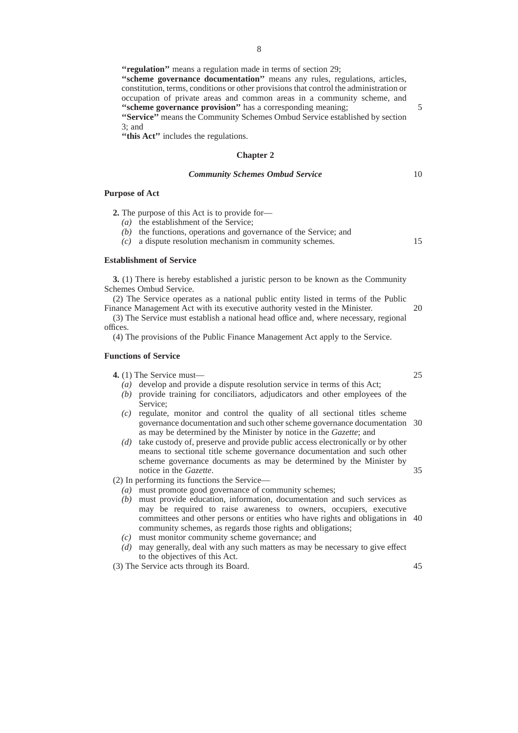**''regulation''** means a regulation made in terms of section 29; **''scheme governance documentation''** means any rules, regulations, articles, constitution, terms, conditions or other provisions that control the administration or occupation of private areas and common areas in a community scheme, and **''scheme governance provision''** has a corresponding meaning; **''Service''** means the Community Schemes Ombud Service established by section 3; and

**''this Act''** includes the regulations.

#### **Chapter 2**

#### *Community Schemes Ombud Service*

#### **Purpose of Act**

**2.** The purpose of this Act is to provide for—

- *(a)* the establishment of the Service;
- *(b)* the functions, operations and governance of the Service; and

*(c)* a dispute resolution mechanism in community schemes.

#### **Establishment of Service**

**3.** (1) There is hereby established a juristic person to be known as the Community Schemes Ombud Service.

(2) The Service operates as a national public entity listed in terms of the Public Finance Management Act with its executive authority vested in the Minister.

(3) The Service must establish a national head office and, where necessary, regional offices.

(4) The provisions of the Public Finance Management Act apply to the Service.

#### **Functions of Service**

**4.** (1) The Service must—

- *(a)* develop and provide a dispute resolution service in terms of this Act;
- *(b)* provide training for conciliators, adjudicators and other employees of the Service;
- *(c)* regulate, monitor and control the quality of all sectional titles scheme governance documentation and such other scheme governance documentation 30 as may be determined by the Minister by notice in the *Gazette*; and
- *(d)* take custody of, preserve and provide public access electronically or by other means to sectional title scheme governance documentation and such other scheme governance documents as may be determined by the Minister by notice in the *Gazette*.

(2) In performing its functions the Service—

- *(a)* must promote good governance of community schemes;
- *(b)* must provide education, information, documentation and such services as may be required to raise awareness to owners, occupiers, executive committees and other persons or entities who have rights and obligations in 40 community schemes, as regards those rights and obligations;
- *(c)* must monitor community scheme governance; and
- *(d)* may generally, deal with any such matters as may be necessary to give effect to the objectives of this Act.
- (3) The Service acts through its Board.

5

10

15

20

25

35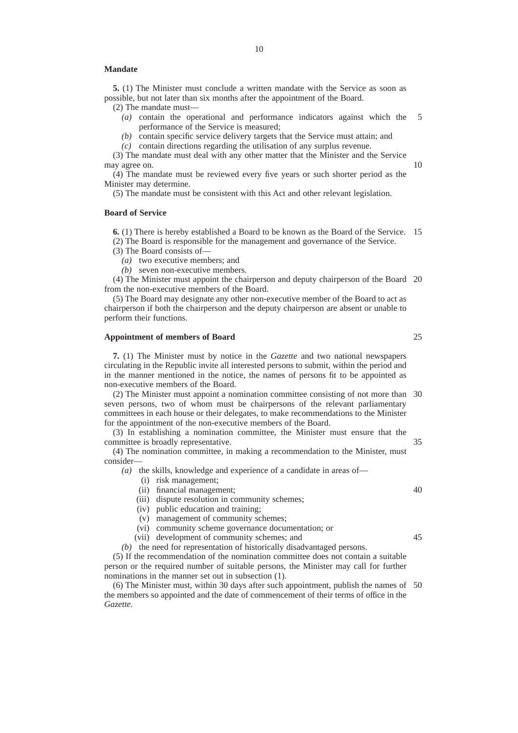#### **Mandate**

**5.** (1) The Minister must conclude a written mandate with the Service as soon as possible, but not later than six months after the appointment of the Board.

(2) The mandate must—

- *(a)* contain the operational and performance indicators against which the performance of the Service is measured; 5
- *(b)* contain specific service delivery targets that the Service must attain; and
- *(c)* contain directions regarding the utilisation of any surplus revenue.

(3) The mandate must deal with any other matter that the Minister and the Service may agree on.

(4) The mandate must be reviewed every five years or such shorter period as the Minister may determine.

(5) The mandate must be consistent with this Act and other relevant legislation.

#### **Board of Service**

**6.** (1) There is hereby established a Board to be known as the Board of the Service. 15 (2) The Board is responsible for the management and governance of the Service.

- (3) The Board consists of—
	- *(a)* two executive members; and
	- *(b)* seven non-executive members.

(4) The Minister must appoint the chairperson and deputy chairperson of the Board 20 from the non-executive members of the Board.

(5) The Board may designate any other non-executive member of the Board to act as chairperson if both the chairperson and the deputy chairperson are absent or unable to perform their functions.

#### **Appointment of members of Board**

**7.** (1) The Minister must by notice in the *Gazette* and two national newspapers circulating in the Republic invite all interested persons to submit, within the period and in the manner mentioned in the notice, the names of persons fit to be appointed as non-executive members of the Board.

(2) The Minister must appoint a nomination committee consisting of not more than 30 seven persons, two of whom must be chairpersons of the relevant parliamentary committees in each house or their delegates, to make recommendations to the Minister for the appointment of the non-executive members of the Board.

(3) In establishing a nomination committee, the Minister must ensure that the committee is broadly representative. 35

(4) The nomination committee, in making a recommendation to the Minister, must consider—

*(a)* the skills, knowledge and experience of a candidate in areas of—

- (i) risk management;
- (ii) financial management;
- (iii) dispute resolution in community schemes;
- (iv) public education and training;
- (v) management of community schemes;
- (vi) community scheme governance documentation; or
- (vii) development of community schemes; and

*(b)* the need for representation of historically disadvantaged persons.

(5) If the recommendation of the nomination committee does not contain a suitable person or the required number of suitable persons, the Minister may call for further nominations in the manner set out in subsection (1).

(6) The Minister must, within 30 days after such appointment, publish the names of 50the members so appointed and the date of commencement of their terms of office in the *Gazette.*

25

10

45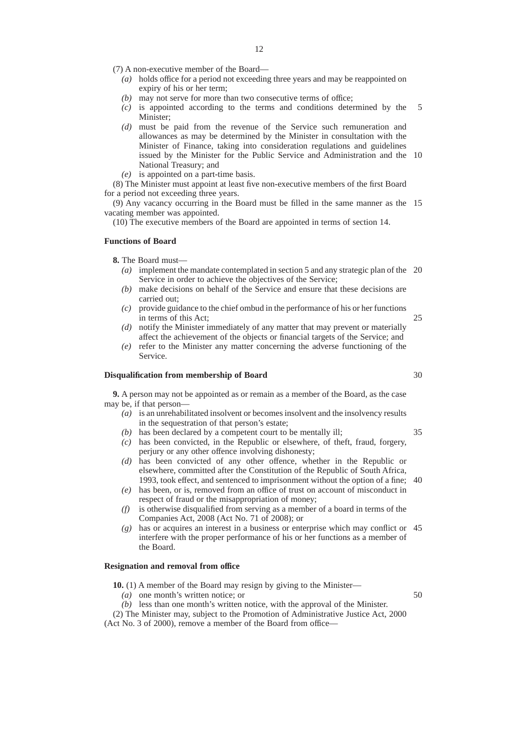- (7) A non-executive member of the Board—
	- *(a)* holds office for a period not exceeding three years and may be reappointed on expiry of his or her term;
	- *(b)* may not serve for more than two consecutive terms of office;
	- *(c)* is appointed according to the terms and conditions determined by the Minister; 5
	- *(d)* must be paid from the revenue of the Service such remuneration and allowances as may be determined by the Minister in consultation with the Minister of Finance, taking into consideration regulations and guidelines issued by the Minister for the Public Service and Administration and the 10 National Treasury; and
	- *(e)* is appointed on a part-time basis.

(8) The Minister must appoint at least five non-executive members of the first Board for a period not exceeding three years.

(9) Any vacancy occurring in the Board must be filled in the same manner as the 15 vacating member was appointed.

(10) The executive members of the Board are appointed in terms of section 14.

#### **Functions of Board**

**8.** The Board must—

- *(a)* implement the mandate contemplated in section 5 and any strategic plan of the 20 Service in order to achieve the objectives of the Service;
- *(b)* make decisions on behalf of the Service and ensure that these decisions are carried out;
- *(c)* provide guidance to the chief ombud in the performance of his or her functions in terms of this Act; 25
- *(d)* notify the Minister immediately of any matter that may prevent or materially affect the achievement of the objects or financial targets of the Service; and
- *(e)* refer to the Minister any matter concerning the adverse functioning of the Service.

#### **Disqualification from membership of Board**

**9.** A person may not be appointed as or remain as a member of the Board, as the case may be, if that person—

- *(a)* is an unrehabilitated insolvent or becomes insolvent and the insolvency results in the sequestration of that person's estate;
- *(b)* has been declared by a competent court to be mentally ill;
- *(c)* has been convicted, in the Republic or elsewhere, of theft, fraud, forgery, perjury or any other offence involving dishonesty;
- *(d)* has been convicted of any other offence, whether in the Republic or elsewhere, committed after the Constitution of the Republic of South Africa, 1993, took effect, and sentenced to imprisonment without the option of a fine; 40
- *(e)* has been, or is, removed from an office of trust on account of misconduct in respect of fraud or the misappropriation of money;
- *(f)* is otherwise disqualified from serving as a member of a board in terms of the Companies Act, 2008 (Act No. 71 of 2008); or
- *(g)* has or acquires an interest in a business or enterprise which may conflict or 45 interfere with the proper performance of his or her functions as a member of the Board.

#### **Resignation and removal from office**

**10.** (1) A member of the Board may resign by giving to the Minister—

- *(a)* one month's written notice; or
- *(b)* less than one month's written notice, with the approval of the Minister.
- (2) The Minister may, subject to the Promotion of Administrative Justice Act, 2000

(Act No. 3 of 2000), remove a member of the Board from office—

30

35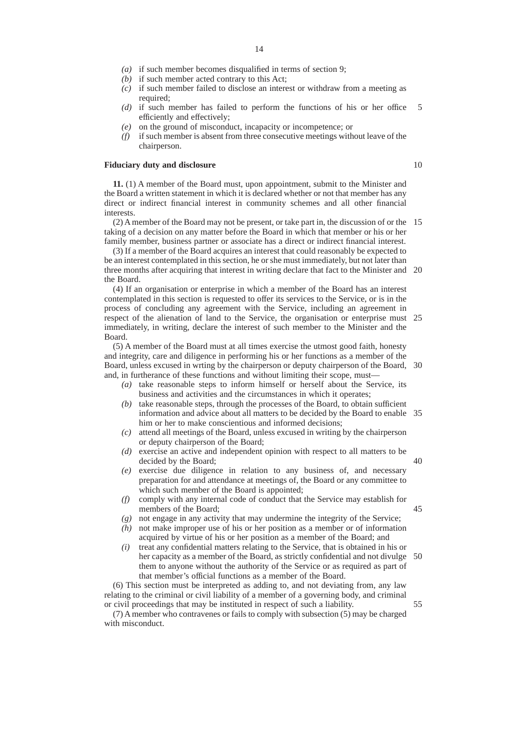- *(a)* if such member becomes disqualified in terms of section 9;
- *(b)* if such member acted contrary to this Act;
- *(c)* if such member failed to disclose an interest or withdraw from a meeting as required;
- *(d)* if such member has failed to perform the functions of his or her office efficiently and effectively; 5
- *(e)* on the ground of misconduct, incapacity or incompetence; or
- *(f)* if such member is absent from three consecutive meetings without leave of the chairperson.

#### **Fiduciary duty and disclosure**

**11.** (1) A member of the Board must, upon appointment, submit to the Minister and the Board a written statement in which it is declared whether or not that member has any direct or indirect financial interest in community schemes and all other financial interests.

(2) A member of the Board may not be present, or take part in, the discussion of or the 15 taking of a decision on any matter before the Board in which that member or his or her family member, business partner or associate has a direct or indirect financial interest.

(3) If a member of the Board acquires an interest that could reasonably be expected to be an interest contemplated in this section, he or she must immediately, but not later than three months after acquiring that interest in writing declare that fact to the Minister and 20 the Board.

(4) If an organisation or enterprise in which a member of the Board has an interest contemplated in this section is requested to offer its services to the Service, or is in the process of concluding any agreement with the Service, including an agreement in respect of the alienation of land to the Service, the organisation or enterprise must 25 immediately, in writing, declare the interest of such member to the Minister and the Board.

(5) A member of the Board must at all times exercise the utmost good faith, honesty and integrity, care and diligence in performing his or her functions as a member of the Board, unless excused in wrting by the chairperson or deputy chairperson of the Board, 30 and, in furtherance of these functions and without limiting their scope, must—

- *(a)* take reasonable steps to inform himself or herself about the Service, its business and activities and the circumstances in which it operates;
- *(b)* take reasonable steps, through the processes of the Board, to obtain sufficient information and advice about all matters to be decided by the Board to enable 35 him or her to make conscientious and informed decisions;
- *(c)* attend all meetings of the Board, unless excused in writing by the chairperson or deputy chairperson of the Board;
- *(d)* exercise an active and independent opinion with respect to all matters to be decided by the Board;
- *(e)* exercise due diligence in relation to any business of, and necessary preparation for and attendance at meetings of, the Board or any committee to which such member of the Board is appointed;
- *(f)* comply with any internal code of conduct that the Service may establish for members of the Board;
- *(g)* not engage in any activity that may undermine the integrity of the Service;
- *(h)* not make improper use of his or her position as a member or of information acquired by virtue of his or her position as a member of the Board; and
- *(i)* treat any confidential matters relating to the Service, that is obtained in his or her capacity as a member of the Board, as strictly confidential and not divulge them to anyone without the authority of the Service or as required as part of that member's official functions as a member of the Board. 50

(6) This section must be interpreted as adding to, and not deviating from, any law relating to the criminal or civil liability of a member of a governing body, and criminal or civil proceedings that may be instituted in respect of such a liability.

(7) A member who contravenes or fails to comply with subsection (5) may be charged with misconduct.

#### 14

45

55

40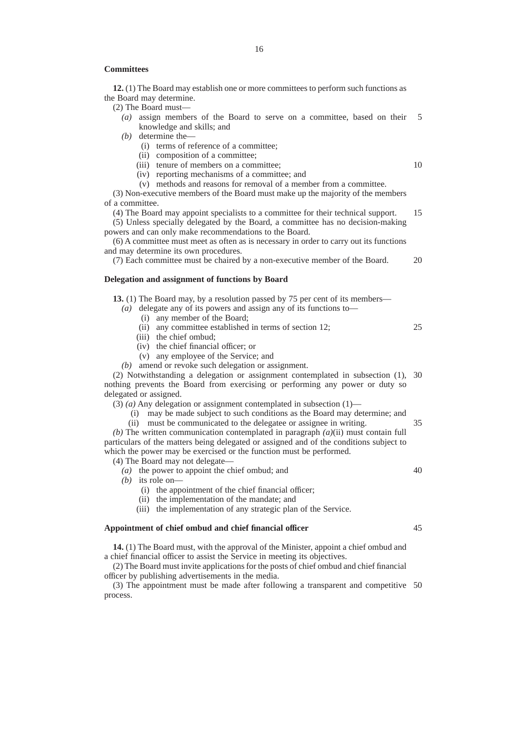#### **Committees**

**12.** (1) The Board may establish one or more committees to perform such functions as the Board may determine.

(2) The Board must—

- *(a)* assign members of the Board to serve on a committee, based on their knowledge and skills; and 5
- *(b)* determine the—
	- (i) terms of reference of a committee;
	- (ii) composition of a committee;
	- (iii) tenure of members on a committee;
	- (iv) reporting mechanisms of a committee; and
	- (v) methods and reasons for removal of a member from a committee.

(3) Non-executive members of the Board must make up the majority of the members of a committee.

(4) The Board may appoint specialists to a committee for their technical support. (5) Unless specially delegated by the Board, a committee has no decision-making 15

powers and can only make recommendations to the Board.

(6) A committee must meet as often as is necessary in order to carry out its functions and may determine its own procedures.

(7) Each committee must be chaired by a non-executive member of the Board.

#### **Delegation and assignment of functions by Board**

**13.** (1) The Board may, by a resolution passed by 75 per cent of its members—

- *(a)* delegate any of its powers and assign any of its functions to—
	- (i) any member of the Board;
	- (ii) any committee established in terms of section 12;
	- (iii) the chief ombud;
	- (iv) the chief financial officer; or
	- (v) any employee of the Service; and
- *(b)* amend or revoke such delegation or assignment.

(2) Notwithstanding a delegation or assignment contemplated in subsection (1), 30 nothing prevents the Board from exercising or performing any power or duty so delegated or assigned.

 $(3)$  (a) Any delegation or assignment contemplated in subsection  $(1)$ —

- (i) may be made subject to such conditions as the Board may determine; and
- (ii) must be communicated to the delegatee or assignee in writing.

*(b)* The written communication contemplated in paragraph *(a)*(ii) must contain full particulars of the matters being delegated or assigned and of the conditions subject to which the power may be exercised or the function must be performed.

(4) The Board may not delegate—

*(a)* the power to appoint the chief ombud; and

*(b)* its role on—

- (i) the appointment of the chief financial officer;
- (ii) the implementation of the mandate; and
- (iii) the implementation of any strategic plan of the Service.

#### **Appointment of chief ombud and chief financial officer**

**14.** (1) The Board must, with the approval of the Minister, appoint a chief ombud and a chief financial officer to assist the Service in meeting its objectives.

(2) The Board must invite applications for the posts of chief ombud and chief financial officer by publishing advertisements in the media.

(3) The appointment must be made after following a transparent and competitive 50process.

40

45

35

10

20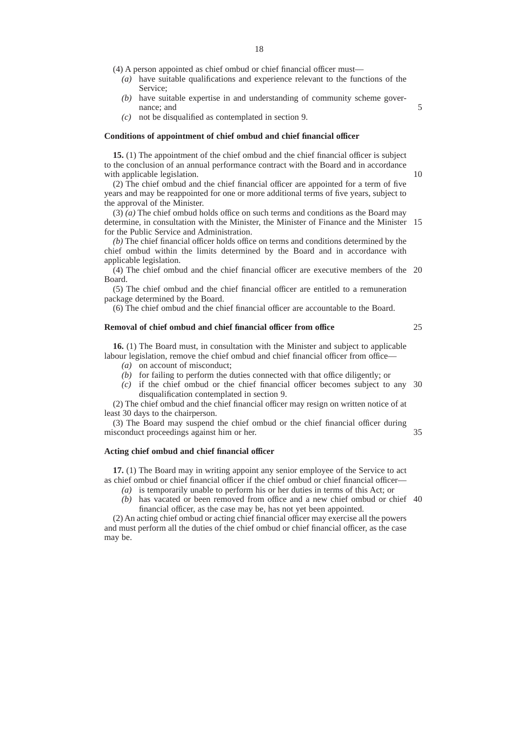(4) A person appointed as chief ombud or chief financial officer must—

- *(a)* have suitable qualifications and experience relevant to the functions of the Service;
- *(b)* have suitable expertise in and understanding of community scheme governance; and
- *(c)* not be disqualified as contemplated in section 9.

#### **Conditions of appointment of chief ombud and chief financial officer**

**15.** (1) The appointment of the chief ombud and the chief financial officer is subject to the conclusion of an annual performance contract with the Board and in accordance with applicable legislation.

(2) The chief ombud and the chief financial officer are appointed for a term of five years and may be reappointed for one or more additional terms of five years, subject to the approval of the Minister.

(3) *(a)* The chief ombud holds office on such terms and conditions as the Board may determine, in consultation with the Minister, the Minister of Finance and the Minister 15 for the Public Service and Administration.

*(b)* The chief financial officer holds office on terms and conditions determined by the chief ombud within the limits determined by the Board and in accordance with applicable legislation.

(4) The chief ombud and the chief financial officer are executive members of the 20 Board.

(5) The chief ombud and the chief financial officer are entitled to a remuneration package determined by the Board.

(6) The chief ombud and the chief financial officer are accountable to the Board.

#### **Removal of chief ombud and chief financial officer from office**

**16.** (1) The Board must, in consultation with the Minister and subject to applicable labour legislation, remove the chief ombud and chief financial officer from office—

- *(a)* on account of misconduct;
- *(b)* for failing to perform the duties connected with that office diligently; or
- *(c)* if the chief ombud or the chief financial officer becomes subject to any 30 disqualification contemplated in section 9.

(2) The chief ombud and the chief financial officer may resign on written notice of at least 30 days to the chairperson.

(3) The Board may suspend the chief ombud or the chief financial officer during misconduct proceedings against him or her.

#### **Acting chief ombud and chief financial officer**

**17.** (1) The Board may in writing appoint any senior employee of the Service to act as chief ombud or chief financial officer if the chief ombud or chief financial officer—

- *(a)* is temporarily unable to perform his or her duties in terms of this Act; or
- *(b)* has vacated or been removed from office and a new chief ombud or chief 40financial officer, as the case may be, has not yet been appointed.

(2) An acting chief ombud or acting chief financial officer may exercise all the powers and must perform all the duties of the chief ombud or chief financial officer, as the case may be.

25

35

5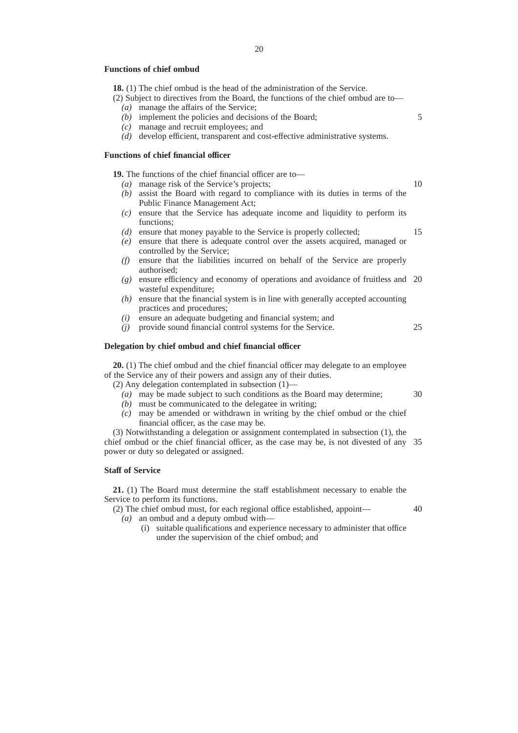#### **Functions of chief ombud**

**18.** (1) The chief ombud is the head of the administration of the Service.

- (2) Subject to directives from the Board, the functions of the chief ombud are to—
	- *(a)* manage the affairs of the Service;
	- *(b)* implement the policies and decisions of the Board;
	- *(c)* manage and recruit employees; and
	- *(d)* develop efficient, transparent and cost-effective administrative systems.

#### **Functions of chief financial officer**

**19.** The functions of the chief financial officer are to—

- *(a)* manage risk of the Service's projects;
- *(b)* assist the Board with regard to compliance with its duties in terms of the Public Finance Management Act;
- *(c)* ensure that the Service has adequate income and liquidity to perform its functions;
- *(d)* ensure that money payable to the Service is properly collected;
- *(e)* ensure that there is adequate control over the assets acquired, managed or controlled by the Service;
- *(f)* ensure that the liabilities incurred on behalf of the Service are properly authorised;
- *(g)* ensure efficiency and economy of operations and avoidance of fruitless and 20 wasteful expenditure;
- *(h)* ensure that the financial system is in line with generally accepted accounting practices and procedures;
- *(i)* ensure an adequate budgeting and financial system; and
- *(j)* provide sound financial control systems for the Service.

#### **Delegation by chief ombud and chief financial officer**

**20.** (1) The chief ombud and the chief financial officer may delegate to an employee of the Service any of their powers and assign any of their duties.

(2) Any delegation contemplated in subsection (1)—

- *(a)* may be made subject to such conditions as the Board may determine;
- *(b)* must be communicated to the delegatee in writing;
- *(c)* may be amended or withdrawn in writing by the chief ombud or the chief financial officer, as the case may be.

(3) Notwithstanding a delegation or assignment contemplated in subsection (1), the chief ombud or the chief financial officer, as the case may be, is not divested of any 35 power or duty so delegated or assigned.

#### **Staff of Service**

**21.** (1) The Board must determine the staff establishment necessary to enable the Service to perform its functions.

(2) The chief ombud must, for each regional office established, appoint— *(a)* an ombud and a deputy ombud with—

(i) suitable qualifications and experience necessary to administer that office under the supervision of the chief ombud; and

10

15

5

25

30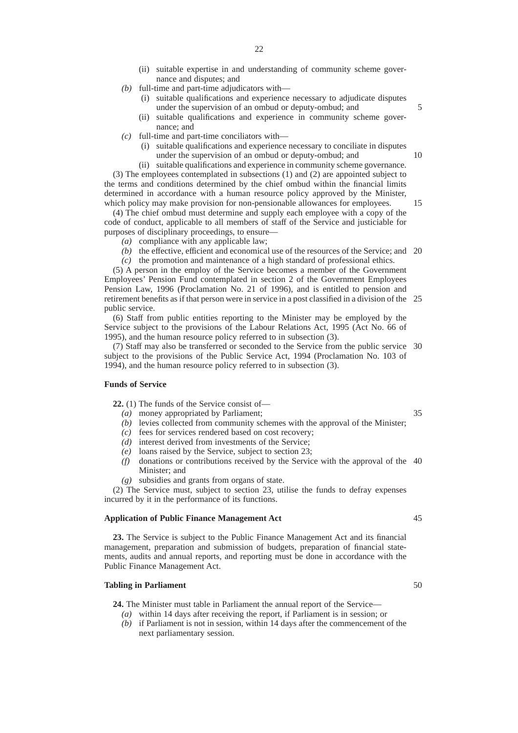- (ii) suitable expertise in and understanding of community scheme governance and disputes; and
- *(b)* full-time and part-time adjudicators with—
	- (i) suitable qualifications and experience necessary to adjudicate disputes under the supervision of an ombud or deputy-ombud; and
	- (ii) suitable qualifications and experience in community scheme governance; and
- *(c)* full-time and part-time conciliators with—
	- (i) suitable qualifications and experience necessary to conciliate in disputes under the supervision of an ombud or deputy-ombud; and

(ii) suitable qualifications and experience in community scheme governance. (3) The employees contemplated in subsections (1) and (2) are appointed subject to the terms and conditions determined by the chief ombud within the financial limits determined in accordance with a human resource policy approved by the Minister, which policy may make provision for non-pensionable allowances for employees.

(4) The chief ombud must determine and supply each employee with a copy of the code of conduct, applicable to all members of staff of the Service and justiciable for purposes of disciplinary proceedings, to ensure—

- *(a)* compliance with any applicable law;
- (b) the effective, efficient and economical use of the resources of the Service; and 20

*(c)* the promotion and maintenance of a high standard of professional ethics.

(5) A person in the employ of the Service becomes a member of the Government Employees' Pension Fund contemplated in section 2 of the Government Employees Pension Law, 1996 (Proclamation No. 21 of 1996), and is entitled to pension and retirement benefits as if that person were in service in a post classified in a division of the 25 public service.

(6) Staff from public entities reporting to the Minister may be employed by the Service subject to the provisions of the Labour Relations Act, 1995 (Act No. 66 of 1995), and the human resource policy referred to in subsection (3).

(7) Staff may also be transferred or seconded to the Service from the public service 30 subject to the provisions of the Public Service Act, 1994 (Proclamation No. 103 of 1994), and the human resource policy referred to in subsection (3).

#### **Funds of Service**

**22.** (1) The funds of the Service consist of—

- *(a)* money appropriated by Parliament;
- *(b)* levies collected from community schemes with the approval of the Minister;
- *(c)* fees for services rendered based on cost recovery;
- *(d)* interest derived from investments of the Service;
- *(e)* loans raised by the Service, subject to section 23;
- *(f)* donations or contributions received by the Service with the approval of the 40 Minister; and
- *(g)* subsidies and grants from organs of state.

(2) The Service must, subject to section 23, utilise the funds to defray expenses incurred by it in the performance of its functions.

#### **Application of Public Finance Management Act**

**23.** The Service is subject to the Public Finance Management Act and its financial management, preparation and submission of budgets, preparation of financial statements, audits and annual reports, and reporting must be done in accordance with the Public Finance Management Act.

#### **Tabling in Parliament**

**24.** The Minister must table in Parliament the annual report of the Service—

- *(a)* within 14 days after receiving the report, if Parliament is in session; or
- *(b)* if Parliament is not in session, within 14 days after the commencement of the next parliamentary session.

35

5

10

15

50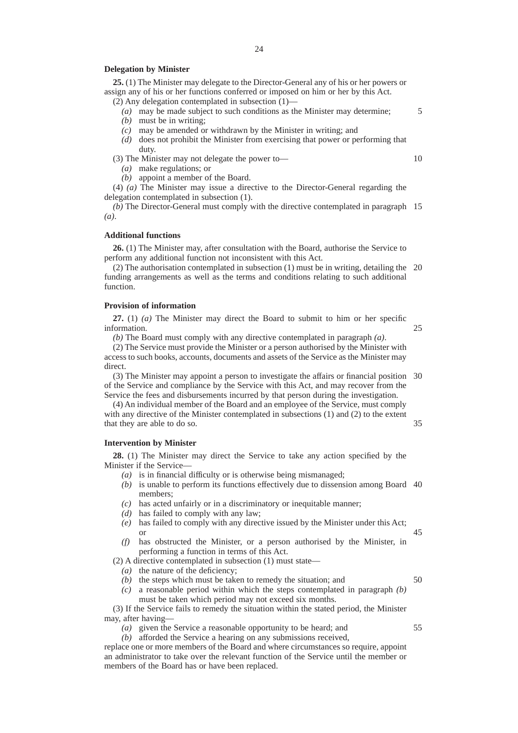#### **Delegation by Minister**

**25.** (1) The Minister may delegate to the Director-General any of his or her powers or assign any of his or her functions conferred or imposed on him or her by this Act.

- (2) Any delegation contemplated in subsection (1)—
	- *(a)* may be made subject to such conditions as the Minister may determine;
	- *(b)* must be in writing;
	- *(c)* may be amended or withdrawn by the Minister in writing; and
	- *(d)* does not prohibit the Minister from exercising that power or performing that duty.

(3) The Minister may not delegate the power to—

- *(a)* make regulations; or
- *(b)* appoint a member of the Board.

(4) *(a)* The Minister may issue a directive to the Director-General regarding the delegation contemplated in subsection (1).

*(b)* The Director-General must comply with the directive contemplated in paragraph 15 *(a)*.

#### **Additional functions**

**26.** (1) The Minister may, after consultation with the Board, authorise the Service to perform any additional function not inconsistent with this Act.

(2) The authorisation contemplated in subsection (1) must be in writing, detailing the 20 funding arrangements as well as the terms and conditions relating to such additional function.

#### **Provision of information**

**27.** (1) *(a)* The Minister may direct the Board to submit to him or her specific information.

*(b)* The Board must comply with any directive contemplated in paragraph *(a)*.

(2) The Service must provide the Minister or a person authorised by the Minister with access to such books, accounts, documents and assets of the Service as the Minister may direct.

(3) The Minister may appoint a person to investigate the affairs or financial position 30 of the Service and compliance by the Service with this Act, and may recover from the Service the fees and disbursements incurred by that person during the investigation.

(4) An individual member of the Board and an employee of the Service, must comply with any directive of the Minister contemplated in subsections (1) and (2) to the extent that they are able to do so. 35

#### **Intervention by Minister**

**28.** (1) The Minister may direct the Service to take any action specified by the Minister if the Service—

- *(a)* is in financial difficulty or is otherwise being mismanaged;
- *(b)* is unable to perform its functions effectively due to dissension among Board 40 members;
- *(c)* has acted unfairly or in a discriminatory or inequitable manner;
- *(d)* has failed to comply with any law;
- *(e)* has failed to comply with any directive issued by the Minister under this Act; or
- *(f)* has obstructed the Minister, or a person authorised by the Minister, in performing a function in terms of this Act.

(2) A directive contemplated in subsection (1) must state—

- *(a)* the nature of the deficiency;
- *(b)* the steps which must be taken to remedy the situation; and
- *(c)* a reasonable period within which the steps contemplated in paragraph *(b)* must be taken which period may not exceed six months.

(3) If the Service fails to remedy the situation within the stated period, the Minister may, after having—

- *(a)* given the Service a reasonable opportunity to be heard; and
- *(b)* afforded the Service a hearing on any submissions received,

replace one or more members of the Board and where circumstances so require, appoint an administrator to take over the relevant function of the Service until the member or members of the Board has or have been replaced.

10

25

5

45

50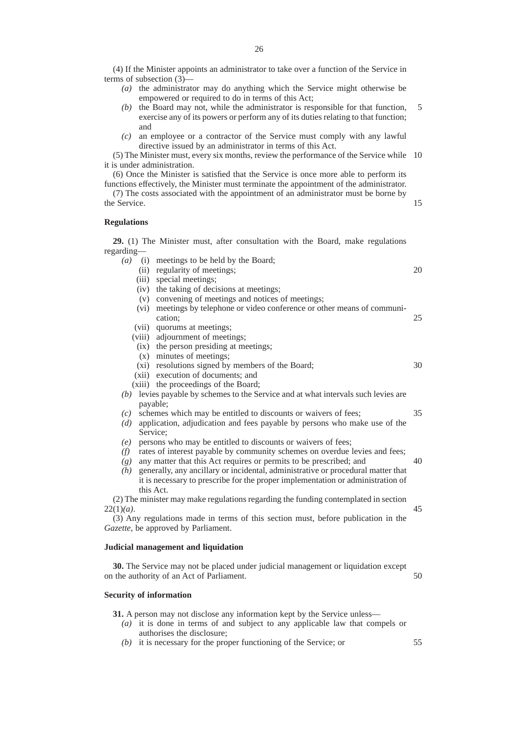(4) If the Minister appoints an administrator to take over a function of the Service in terms of subsection (3)—

- *(a)* the administrator may do anything which the Service might otherwise be empowered or required to do in terms of this Act;
- *(b)* the Board may not, while the administrator is responsible for that function, exercise any of its powers or perform any of its duties relating to that function; and 5
- *(c)* an employee or a contractor of the Service must comply with any lawful directive issued by an administrator in terms of this Act.

(5) The Minister must, every six months, review the performance of the Service while 10 it is under administration.

(6) Once the Minister is satisfied that the Service is once more able to perform its functions effectively, the Minister must terminate the appointment of the administrator.

(7) The costs associated with the appointment of an administrator must be borne by the Service.

#### **Regulations**

**29.** (1) The Minister must, after consultation with the Board, make regulations regarding— *(a)* (i) meetings to be held by the Board;

|              | (ii) regularity of meetings;                                                         | 20 |
|--------------|--------------------------------------------------------------------------------------|----|
| (iii)        | special meetings;                                                                    |    |
|              | (iv) the taking of decisions at meetings;                                            |    |
|              | (v) convening of meetings and notices of meetings;                                   |    |
|              | (vi) meetings by telephone or video conference or other means of communi-            |    |
|              | cation;                                                                              | 25 |
|              | (vii) quorums at meetings;                                                           |    |
|              | (viii) adjournment of meetings;                                                      |    |
|              | (ix) the person presiding at meetings;                                               |    |
|              | (x) minutes of meetings;                                                             |    |
|              | (xi) resolutions signed by members of the Board;                                     | 30 |
|              | (xii) execution of documents; and                                                    |    |
|              | (xiii) the proceedings of the Board;                                                 |    |
|              | $(b)$ levies payable by schemes to the Service and at what intervals such levies are |    |
| payable;     |                                                                                      |    |
| (c)          | schemes which may be entitled to discounts or waivers of fees;                       | 35 |
| (d)          | application, adjudication and fees payable by persons who make use of the            |    |
| Service;     |                                                                                      |    |
| (e)          | persons who may be entitled to discounts or waivers of fees;                         |    |
| (f)          | rates of interest payable by community schemes on overdue levies and fees;           |    |
| (g)          | any matter that this Act requires or permits to be prescribed; and                   | 40 |
| (h)          | generally, any ancillary or incidental, administrative or procedural matter that     |    |
|              | it is necessary to prescribe for the proper implementation or administration of      |    |
| this Act.    |                                                                                      |    |
|              | (2) The minister may make regulations regarding the funding contemplated in section  |    |
| $22(1)(a)$ . |                                                                                      | 45 |
|              | (3) Any regulations made in terms of this section must, before publication in the    |    |
|              | Gazette, be approved by Parliament.                                                  |    |

#### **Judicial management and liquidation**

**30.** The Service may not be placed under judicial management or liquidation except on the authority of an Act of Parliament. 50

#### **Security of information**

22(1)*(a)*.

**31.** A person may not disclose any information kept by the Service unless—

- *(a)* it is done in terms of and subject to any applicable law that compels or authorises the disclosure;
- *(b)* it is necessary for the proper functioning of the Service; or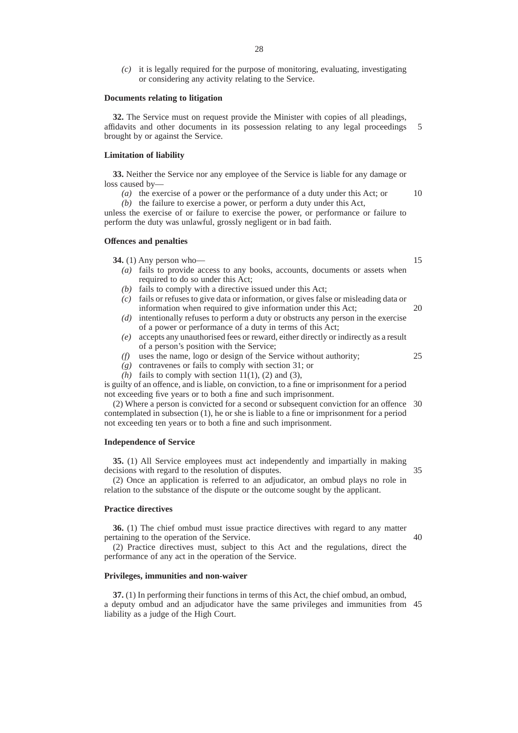*(c)* it is legally required for the purpose of monitoring, evaluating, investigating or considering any activity relating to the Service.

#### **Documents relating to litigation**

**32.** The Service must on request provide the Minister with copies of all pleadings, affidavits and other documents in its possession relating to any legal proceedings brought by or against the Service. 5

#### **Limitation of liability**

**33.** Neither the Service nor any employee of the Service is liable for any damage or loss caused by-

*(a)* the exercise of a power or the performance of a duty under this Act; or 10

*(b)* the failure to exercise a power, or perform a duty under this Act, unless the exercise of or failure to exercise the power, or performance or failure to

perform the duty was unlawful, grossly negligent or in bad faith.

#### **Offences and penalties**

**34.** (1) Any person who—

- *(a)* fails to provide access to any books, accounts, documents or assets when required to do so under this Act;
- *(b)* fails to comply with a directive issued under this Act;
- *(c)* fails or refuses to give data or information, or gives false or misleading data or information when required to give information under this Act; 20
- *(d)* intentionally refuses to perform a duty or obstructs any person in the exercise of a power or performance of a duty in terms of this Act;
- *(e)* accepts any unauthorised fees or reward, either directly or indirectly as a result of a person's position with the Service;
- *(f)* uses the name, logo or design of the Service without authority;
- *(g)* contravenes or fails to comply with section 31; or
- $(h)$  fails to comply with section 11(1), (2) and (3),

is guilty of an offence, and is liable, on conviction, to a fine or imprisonment for a period not exceeding five years or to both a fine and such imprisonment.

(2) Where a person is convicted for a second or subsequent conviction for an offence 30 contemplated in subsection (1), he or she is liable to a fine or imprisonment for a period not exceeding ten years or to both a fine and such imprisonment.

#### **Independence of Service**

**35.** (1) All Service employees must act independently and impartially in making decisions with regard to the resolution of disputes. 35

(2) Once an application is referred to an adjudicator, an ombud plays no role in relation to the substance of the dispute or the outcome sought by the applicant.

#### **Practice directives**

**36.** (1) The chief ombud must issue practice directives with regard to any matter pertaining to the operation of the Service.

(2) Practice directives must, subject to this Act and the regulations, direct the performance of any act in the operation of the Service.

#### **Privileges, immunities and non-waiver**

**37.** (1) In performing their functions in terms of this Act, the chief ombud, an ombud, a deputy ombud and an adjudicator have the same privileges and immunities from 45liability as a judge of the High Court.

15

25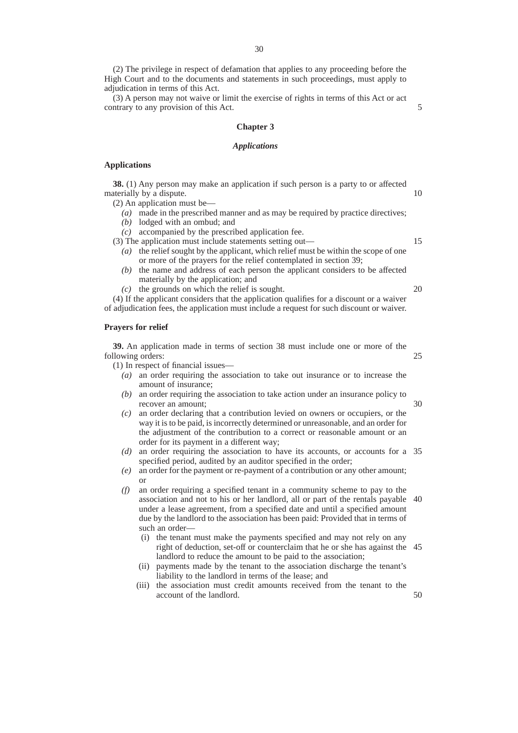(2) The privilege in respect of defamation that applies to any proceeding before the High Court and to the documents and statements in such proceedings, must apply to adjudication in terms of this Act.

(3) A person may not waive or limit the exercise of rights in terms of this Act or act contrary to any provision of this Act.

#### **Chapter 3**

#### *Applications*

#### **Applications**

**38.** (1) Any person may make an application if such person is a party to or affected materially by a dispute. 10

(2) An application must be—

- *(a)* made in the prescribed manner and as may be required by practice directives;
- *(b)* lodged with an ombud; and
- *(c)* accompanied by the prescribed application fee.
- (3) The application must include statements setting out—
	- *(a)* the relief sought by the applicant, which relief must be within the scope of one or more of the prayers for the relief contemplated in section 39;
	- *(b)* the name and address of each person the applicant considers to be affected materially by the application; and
	- *(c)* the grounds on which the relief is sought.

(4) If the applicant considers that the application qualifies for a discount or a waiver of adjudication fees, the application must include a request for such discount or waiver.

#### **Prayers for relief**

**39.** An application made in terms of section 38 must include one or more of the following orders:

(1) In respect of financial issues—

- *(a)* an order requiring the association to take out insurance or to increase the amount of insurance;
- *(b)* an order requiring the association to take action under an insurance policy to recover an amount;
- *(c)* an order declaring that a contribution levied on owners or occupiers, or the way it is to be paid, is incorrectly determined or unreasonable, and an order for the adjustment of the contribution to a correct or reasonable amount or an order for its payment in a different way;
- *(d)* an order requiring the association to have its accounts, or accounts for a 35 specified period, audited by an auditor specified in the order;
- *(e)* an order for the payment or re-payment of a contribution or any other amount; or
- *(f)* an order requiring a specified tenant in a community scheme to pay to the association and not to his or her landlord, all or part of the rentals payable 40 under a lease agreement, from a specified date and until a specified amount due by the landlord to the association has been paid: Provided that in terms of such an order-
	- (i) the tenant must make the payments specified and may not rely on any right of deduction, set-off or counterclaim that he or she has against the 45 landlord to reduce the amount to be paid to the association;
	- (ii) payments made by the tenant to the association discharge the tenant's liability to the landlord in terms of the lease; and
	- (iii) the association must credit amounts received from the tenant to the account of the landlord. 50

20

15

5

25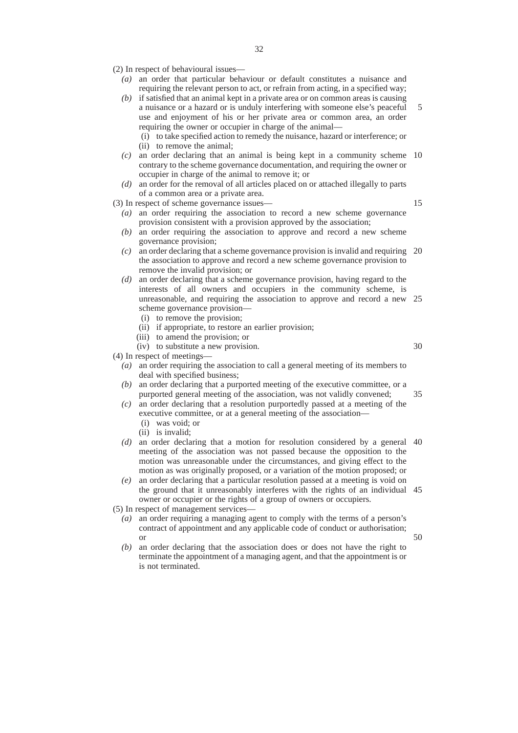- (2) In respect of behavioural issues—
	- *(a)* an order that particular behaviour or default constitutes a nuisance and requiring the relevant person to act, or refrain from acting, in a specified way;
	- *(b)* if satisfied that an animal kept in a private area or on common areas is causing a nuisance or a hazard or is unduly interfering with someone else's peaceful use and enjoyment of his or her private area or common area, an order requiring the owner or occupier in charge of the animal— 5
		- (i) to take specified action to remedy the nuisance, hazard or interference; or
		- (ii) to remove the animal;
	- *(c)* an order declaring that an animal is being kept in a community scheme 10 contrary to the scheme governance documentation, and requiring the owner or occupier in charge of the animal to remove it; or
	- *(d)* an order for the removal of all articles placed on or attached illegally to parts of a common area or a private area.

(3) In respect of scheme governance issues—

15

- *(a)* an order requiring the association to record a new scheme governance provision consistent with a provision approved by the association;
- *(b)* an order requiring the association to approve and record a new scheme governance provision;
- *(c)* an order declaring that a scheme governance provision is invalid and requiring 20 the association to approve and record a new scheme governance provision to remove the invalid provision; or
- *(d)* an order declaring that a scheme governance provision, having regard to the interests of all owners and occupiers in the community scheme, is unreasonable, and requiring the association to approve and record a new 25 scheme governance provision—
	- (i) to remove the provision;
	- (ii) if appropriate, to restore an earlier provision;
	- (iii) to amend the provision; or
	- (iv) to substitute a new provision.

30

50

(4) In respect of meetings—

- *(a)* an order requiring the association to call a general meeting of its members to deal with specified business;
- *(b)* an order declaring that a purported meeting of the executive committee, or a purported general meeting of the association, was not validly convened; 35
- *(c)* an order declaring that a resolution purportedly passed at a meeting of the executive committee, or at a general meeting of the association— (i) was void; or
	- (ii) is invalid;
- *(d)* an order declaring that a motion for resolution considered by a general 40 meeting of the association was not passed because the opposition to the motion was unreasonable under the circumstances, and giving effect to the motion as was originally proposed, or a variation of the motion proposed; or
- *(e)* an order declaring that a particular resolution passed at a meeting is void on the ground that it unreasonably interferes with the rights of an individual 45 owner or occupier or the rights of a group of owners or occupiers.

(5) In respect of management services—

- *(a)* an order requiring a managing agent to comply with the terms of a person's contract of appointment and any applicable code of conduct or authorisation; or
- *(b)* an order declaring that the association does or does not have the right to terminate the appointment of a managing agent, and that the appointment is or is not terminated.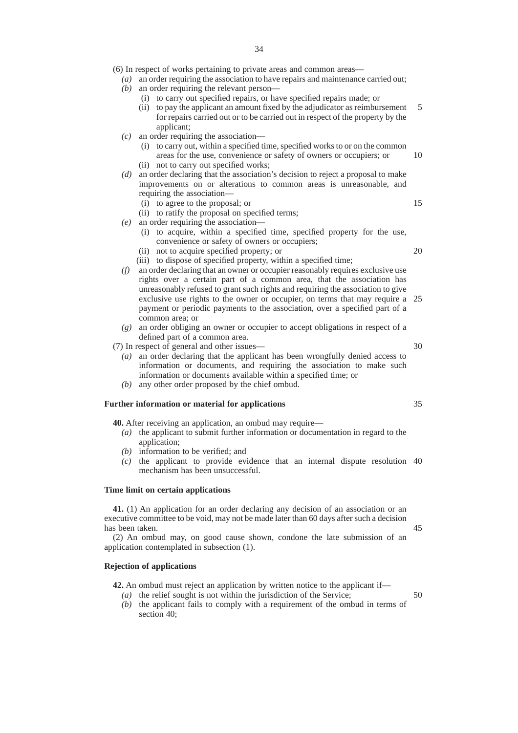- (6) In respect of works pertaining to private areas and common areas—
	- *(a)* an order requiring the association to have repairs and maintenance carried out;
	- *(b)* an order requiring the relevant person—
		- (i) to carry out specified repairs, or have specified repairs made; or
		- (ii) to pay the applicant an amount fixed by the adjudicator as reimbursement for repairs carried out or to be carried out in respect of the property by the applicant; 5
	- *(c)* an order requiring the association—
		- (i) to carry out, within a specified time, specified works to or on the common areas for the use, convenience or safety of owners or occupiers; or (ii) not to carry out specified works;
	- *(d)* an order declaring that the association's decision to reject a proposal to make improvements on or alterations to common areas is unreasonable, and requiring the association—
		- (i) to agree to the proposal; or
		- (ii) to ratify the proposal on specified terms;
	- *(e)* an order requiring the association—
		- (i) to acquire, within a specified time, specified property for the use, convenience or safety of owners or occupiers;
		- (ii) not to acquire specified property; or
		- (iii) to dispose of specified property, within a specified time;
	- *(f)* an order declaring that an owner or occupier reasonably requires exclusive use rights over a certain part of a common area, that the association has unreasonably refused to grant such rights and requiring the association to give exclusive use rights to the owner or occupier, on terms that may require a 25 payment or periodic payments to the association, over a specified part of a common area; or
	- *(g)* an order obliging an owner or occupier to accept obligations in respect of a defined part of a common area.

(7) In respect of general and other issues—

- *(a)* an order declaring that the applicant has been wrongfully denied access to information or documents, and requiring the association to make such information or documents available within a specified time; or
- *(b)* any other order proposed by the chief ombud.

#### **Further information or material for applications**

**40.** After receiving an application, an ombud may require—

- *(a)* the applicant to submit further information or documentation in regard to the application;
- *(b)* information to be verified; and
- *(c)* the applicant to provide evidence that an internal dispute resolution 40 mechanism has been unsuccessful.

#### **Time limit on certain applications**

**41.** (1) An application for an order declaring any decision of an association or an executive committee to be void, may not be made later than 60 days after such a decision has been taken.

(2) An ombud may, on good cause shown, condone the late submission of an application contemplated in subsection (1).

#### **Rejection of applications**

**42.** An ombud must reject an application by written notice to the applicant if—

- *(a)* the relief sought is not within the jurisdiction of the Service;
- *(b)* the applicant fails to comply with a requirement of the ombud in terms of section 40;

20

10

15

35

45

50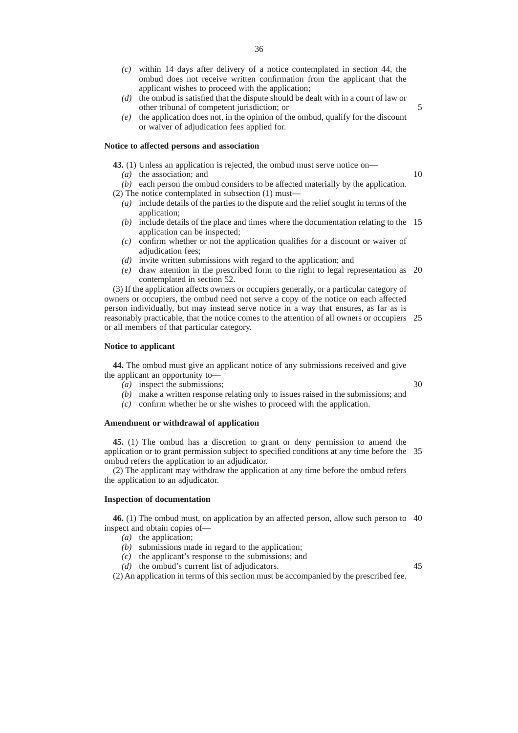- *(c)* within 14 days after delivery of a notice contemplated in section 44, the ombud does not receive written confirmation from the applicant that the applicant wishes to proceed with the application;
- *(d)* the ombud is satisfied that the dispute should be dealt with in a court of law or other tribunal of competent jurisdiction; or
- *(e)* the application does not, in the opinion of the ombud, qualify for the discount or waiver of adjudication fees applied for.

#### **Notice to affected persons and association**

**43.** (1) Unless an application is rejected, the ombud must serve notice on—

*(a)* the association; and

10

5

- *(b)* each person the ombud considers to be affected materially by the application. (2) The notice contemplated in subsection (1) must—
	- *(a)* include details of the parties to the dispute and the relief sought in terms of the application;
	- *(b)* include details of the place and times where the documentation relating to the 15 application can be inspected;
	- *(c)* confirm whether or not the application qualifies for a discount or waiver of adjudication fees;
	- *(d)* invite written submissions with regard to the application; and
	- *(e)* draw attention in the prescribed form to the right to legal representation as 20 contemplated in section 52.

(3) If the application affects owners or occupiers generally, or a particular category of owners or occupiers, the ombud need not serve a copy of the notice on each affected person individually, but may instead serve notice in a way that ensures, as far as is reasonably practicable, that the notice comes to the attention of all owners or occupiers 25 or all members of that particular category.

#### **Notice to applicant**

**44.** The ombud must give an applicant notice of any submissions received and give the applicant an opportunity to—

*(a)* inspect the submissions;

30

- *(b)* make a written response relating only to issues raised in the submissions; and
- *(c)* confirm whether he or she wishes to proceed with the application.

#### **Amendment or withdrawal of application**

**45.** (1) The ombud has a discretion to grant or deny permission to amend the application or to grant permission subject to specified conditions at any time before the 35 ombud refers the application to an adjudicator.

(2) The applicant may withdraw the application at any time before the ombud refers the application to an adjudicator.

#### **Inspection of documentation**

**46.** (1) The ombud must, on application by an affected person, allow such person to 40 inspect and obtain copies of—

- *(a)* the application;
- *(b)* submissions made in regard to the application;
- *(c)* the applicant's response to the submissions; and
- *(d)* the ombud's current list of adjudicators.

45

(2) An application in terms of this section must be accompanied by the prescribed fee.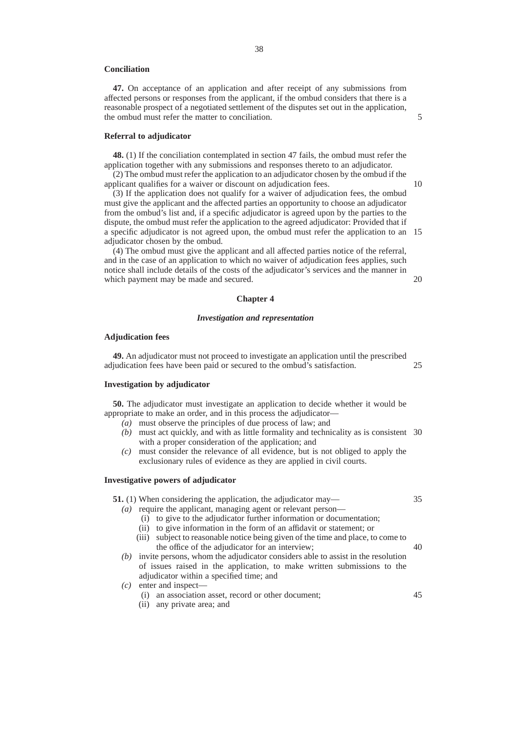#### **Conciliation**

**47.** On acceptance of an application and after receipt of any submissions from affected persons or responses from the applicant, if the ombud considers that there is a reasonable prospect of a negotiated settlement of the disputes set out in the application, the ombud must refer the matter to conciliation.

#### **Referral to adjudicator**

**48.** (1) If the conciliation contemplated in section 47 fails, the ombud must refer the application together with any submissions and responses thereto to an adjudicator.

(2) The ombud must refer the application to an adjudicator chosen by the ombud if the applicant qualifies for a waiver or discount on adjudication fees.

(3) If the application does not qualify for a waiver of adjudication fees, the ombud must give the applicant and the affected parties an opportunity to choose an adjudicator from the ombud's list and, if a specific adjudicator is agreed upon by the parties to the dispute, the ombud must refer the application to the agreed adjudicator: Provided that if a specific adjudicator is not agreed upon, the ombud must refer the application to an 15 adjudicator chosen by the ombud.

(4) The ombud must give the applicant and all affected parties notice of the referral, and in the case of an application to which no waiver of adjudication fees applies, such notice shall include details of the costs of the adjudicator's services and the manner in which payment may be made and secured.

## **Chapter 4**

#### *Investigation and representation*

#### **Adjudication fees**

**49.** An adjudicator must not proceed to investigate an application until the prescribed adjudication fees have been paid or secured to the ombud's satisfaction. 25

#### **Investigation by adjudicator**

**50.** The adjudicator must investigate an application to decide whether it would be appropriate to make an order, and in this process the adjudicator—

*(a)* must observe the principles of due process of law; and

- *(b)* must act quickly, and with as little formality and technicality as is consistent 30 with a proper consideration of the application; and
- *(c)* must consider the relevance of all evidence, but is not obliged to apply the exclusionary rules of evidence as they are applied in civil courts.

#### **Investigative powers of adjudicator**

**51.** (1) When considering the application, the adjudicator may—

- *(a)* require the applicant, managing agent or relevant person—
	- (i) to give to the adjudicator further information or documentation;
	- (ii) to give information in the form of an affidavit or statement; or
	- (iii) subject to reasonable notice being given of the time and place, to come to the office of the adjudicator for an interview; 40
- *(b)* invite persons, whom the adjudicator considers able to assist in the resolution of issues raised in the application, to make written submissions to the adjudicator within a specified time; and
- *(c)* enter and inspect—
	- (i) an association asset, record or other document;
	- (ii) any private area; and

5

10

20

35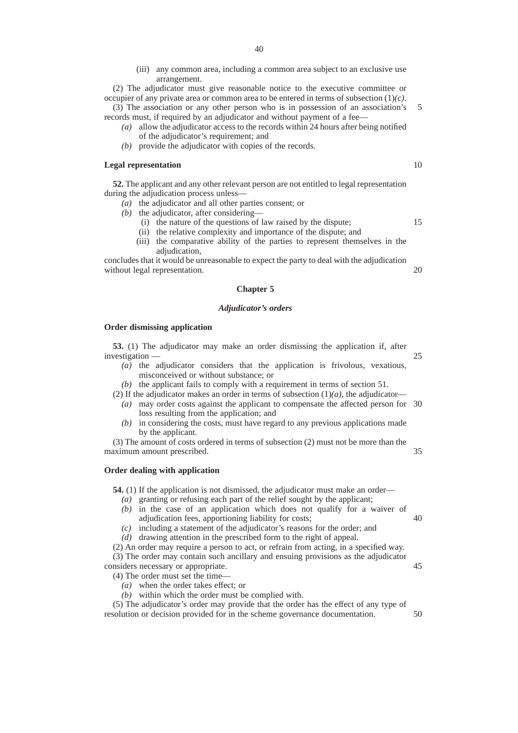(iii) any common area, including a common area subject to an exclusive use arrangement.

(2) The adjudicator must give reasonable notice to the executive committee or occupier of any private area or common area to be entered in terms of subsection (1)*(c)*.

(3) The association or any other person who is in possession of an association's records must, if required by an adjudicator and without payment of a fee— 5

- *(a)* allow the adjudicator access to the records within 24 hours after being notified of the adjudicator's requirement; and
- *(b)* provide the adjudicator with copies of the records.

#### **Legal representation**

**52.** The applicant and any other relevant person are not entitled to legal representation during the adjudication process unless—

- *(a)* the adjudicator and all other parties consent; or
- *(b)* the adjudicator, after considering—
	- (i) the nature of the questions of law raised by the dispute;
	- (ii) the relative complexity and importance of the dispute; and
	- (iii) the comparative ability of the parties to represent themselves in the adjudication,

concludes that it would be unreasonable to expect the party to deal with the adjudication without legal representation. 20

#### **Chapter 5**

#### *Adjudicator's orders*

#### **Order dismissing application**

**53.** (1) The adjudicator may make an order dismissing the application if, after investigation —

- *(a)* the adjudicator considers that the application is frivolous, vexatious, misconceived or without substance; or
- *(b)* the applicant fails to comply with a requirement in terms of section 51.
- (2) If the adjudicator makes an order in terms of subsection  $(1)(a)$ , the adjudicator— *(a)* may order costs against the applicant to compensate the affected person for 30 loss resulting from the application; and
	- *(b)* in considering the costs, must have regard to any previous applications made by the applicant.

(3) The amount of costs ordered in terms of subsection (2) must not be more than the maximum amount prescribed. 35

#### **Order dealing with application**

**54.** (1) If the application is not dismissed, the adjudicator must make an order—

- *(a)* granting or refusing each part of the relief sought by the applicant;
- *(b)* in the case of an application which does not qualify for a waiver of adjudication fees, apportioning liability for costs; 40
- *(c)* including a statement of the adjudicator's reasons for the order; and
- *(d)* drawing attention in the prescribed form to the right of appeal.

(2) An order may require a person to act, or refrain from acting, in a specified way. (3) The order may contain such ancillary and ensuing provisions as the adjudicator considers necessary or appropriate.

- (4) The order must set the time—
	- *(a)* when the order takes effect; or
	- *(b)* within which the order must be complied with.

(5) The adjudicator's order may provide that the order has the effect of any type of resolution or decision provided for in the scheme governance documentation. 50

15

10

25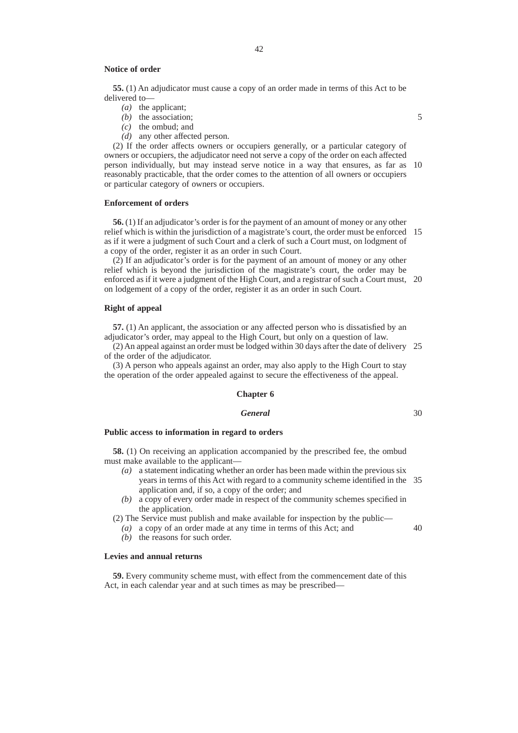#### **Notice of order**

**55.** (1) An adjudicator must cause a copy of an order made in terms of this Act to be delivered to—

- *(a)* the applicant;
- *(b)* the association;
- *(c)* the ombud; and
- *(d)* any other affected person.

(2) If the order affects owners or occupiers generally, or a particular category of owners or occupiers, the adjudicator need not serve a copy of the order on each affected person individually, but may instead serve notice in a way that ensures, as far as 10 reasonably practicable, that the order comes to the attention of all owners or occupiers or particular category of owners or occupiers.

#### **Enforcement of orders**

**56.** (1) If an adjudicator's order is for the payment of an amount of money or any other relief which is within the jurisdiction of a magistrate's court, the order must be enforced 15 as if it were a judgment of such Court and a clerk of such a Court must, on lodgment of a copy of the order, register it as an order in such Court.

(2) If an adjudicator's order is for the payment of an amount of money or any other relief which is beyond the jurisdiction of the magistrate's court, the order may be enforced as if it were a judgment of the High Court, and a registrar of such a Court must, 20 on lodgement of a copy of the order, register it as an order in such Court.

#### **Right of appeal**

**57.** (1) An applicant, the association or any affected person who is dissatisfied by an adjudicator's order, may appeal to the High Court, but only on a question of law.

(2) An appeal against an order must be lodged within 30 days after the date of delivery 25 of the order of the adjudicator.

(3) A person who appeals against an order, may also apply to the High Court to stay the operation of the order appealed against to secure the effectiveness of the appeal.

#### **Chapter 6**

#### *General*

30

40

#### **Public access to information in regard to orders**

**58.** (1) On receiving an application accompanied by the prescribed fee, the ombud must make available to the applicant—

- *(a)* a statement indicating whether an order has been made within the previous six years in terms of this Act with regard to a community scheme identified in the 35 application and, if so, a copy of the order; and
- *(b)* a copy of every order made in respect of the community schemes specified in the application.

(2) The Service must publish and make available for inspection by the public— *(a)* a copy of an order made at any time in terms of this Act; and

*(b)* the reasons for such order.

#### **Levies and annual returns**

**59.** Every community scheme must, with effect from the commencement date of this Act, in each calendar year and at such times as may be prescribed—